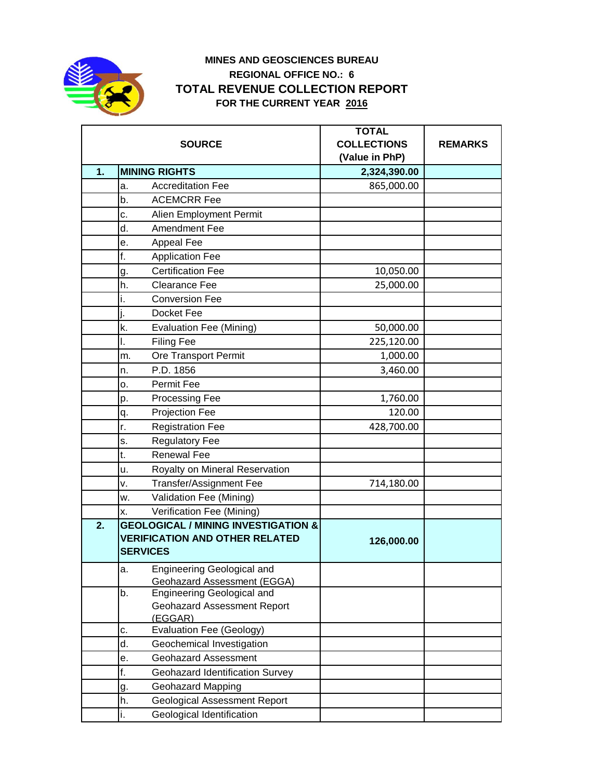

## **TOTAL REVENUE COLLECTION REPORT FOR THE CURRENT YEAR 2016 MINES AND GEOSCIENCES BUREAU REGIONAL OFFICE NO.: 6**

|    | <b>SOURCE</b>                                                                                              | <b>TOTAL</b><br><b>COLLECTIONS</b><br>(Value in PhP) | <b>REMARKS</b> |
|----|------------------------------------------------------------------------------------------------------------|------------------------------------------------------|----------------|
| 1. | <b>MINING RIGHTS</b>                                                                                       | 2,324,390.00                                         |                |
|    | <b>Accreditation Fee</b><br>a.                                                                             | 865,000.00                                           |                |
|    | <b>ACEMCRR Fee</b><br>b.                                                                                   |                                                      |                |
|    | c.<br>Alien Employment Permit                                                                              |                                                      |                |
|    | Amendment Fee<br>d.                                                                                        |                                                      |                |
|    | Appeal Fee<br>е.                                                                                           |                                                      |                |
|    | f.<br><b>Application Fee</b>                                                                               |                                                      |                |
|    | <b>Certification Fee</b><br>g.                                                                             | 10,050.00                                            |                |
|    | h.<br><b>Clearance Fee</b>                                                                                 | 25,000.00                                            |                |
|    | <b>Conversion Fee</b><br>۱.                                                                                |                                                      |                |
|    | Docket Fee                                                                                                 |                                                      |                |
|    | k.<br><b>Evaluation Fee (Mining)</b>                                                                       | 50,000.00                                            |                |
|    | <b>Filing Fee</b><br>ı.                                                                                    | 225,120.00                                           |                |
|    | Ore Transport Permit<br>m.                                                                                 | 1,000.00                                             |                |
|    | P.D. 1856<br>n.                                                                                            | 3,460.00                                             |                |
|    | Permit Fee<br>о.                                                                                           |                                                      |                |
|    | Processing Fee<br>p.                                                                                       | 1,760.00                                             |                |
|    | Projection Fee<br>q.                                                                                       | 120.00                                               |                |
|    | r.<br><b>Registration Fee</b>                                                                              | 428,700.00                                           |                |
|    | <b>Regulatory Fee</b><br>s.                                                                                |                                                      |                |
|    | <b>Renewal Fee</b><br>t.                                                                                   |                                                      |                |
|    | Royalty on Mineral Reservation<br>u.                                                                       |                                                      |                |
|    | <b>Transfer/Assignment Fee</b><br>٧.                                                                       | 714,180.00                                           |                |
|    | Validation Fee (Mining)<br>w.                                                                              |                                                      |                |
|    | Verification Fee (Mining)<br>х.                                                                            |                                                      |                |
| 2. | <b>GEOLOGICAL / MINING INVESTIGATION &amp;</b><br><b>VERIFICATION AND OTHER RELATED</b><br><b>SERVICES</b> | 126,000.00                                           |                |
|    | <b>Engineering Geological and</b><br>а.<br><b>Geohazard Assessment (EGGA)</b>                              |                                                      |                |
|    | Engineering Geological and<br>b.<br>Geohazard Assessment Report<br>(EGGAR)                                 |                                                      |                |
|    | Evaluation Fee (Geology)<br>c.                                                                             |                                                      |                |
|    | d.<br>Geochemical Investigation                                                                            |                                                      |                |
|    | <b>Geohazard Assessment</b><br>е.                                                                          |                                                      |                |
|    | f.<br>Geohazard Identification Survey                                                                      |                                                      |                |
|    | <b>Geohazard Mapping</b><br>g.                                                                             |                                                      |                |
|    | h.<br>Geological Assessment Report                                                                         |                                                      |                |
|    | Geological Identification<br>i.                                                                            |                                                      |                |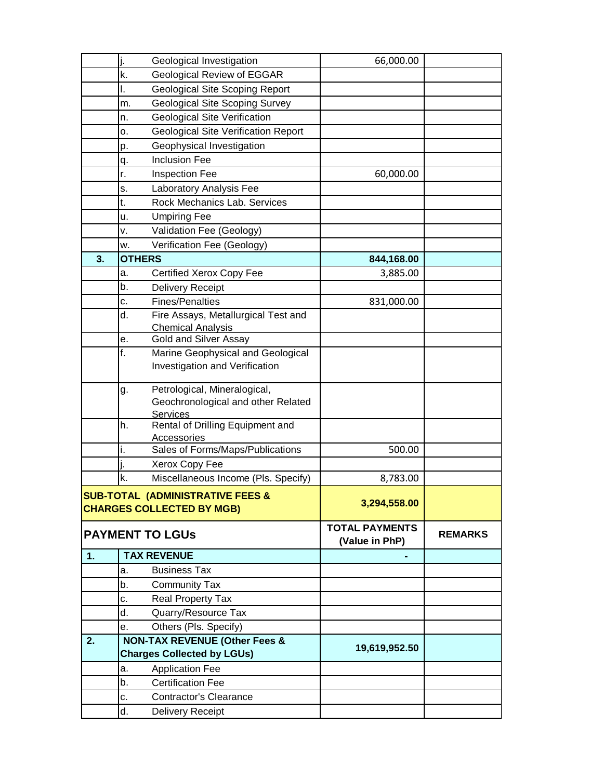|                                                                      | Geological Investigation                              | 66,000.00                               |                |
|----------------------------------------------------------------------|-------------------------------------------------------|-----------------------------------------|----------------|
|                                                                      | Geological Review of EGGAR<br>k.                      |                                         |                |
|                                                                      | <b>Geological Site Scoping Report</b><br>ı.           |                                         |                |
|                                                                      | <b>Geological Site Scoping Survey</b><br>m.           |                                         |                |
|                                                                      | <b>Geological Site Verification</b><br>n.             |                                         |                |
|                                                                      | <b>Geological Site Verification Report</b><br>ο.      |                                         |                |
|                                                                      | Geophysical Investigation<br>р.                       |                                         |                |
|                                                                      | <b>Inclusion Fee</b><br>q.                            |                                         |                |
|                                                                      | <b>Inspection Fee</b><br>r.                           | 60,000.00                               |                |
|                                                                      | Laboratory Analysis Fee<br>s.                         |                                         |                |
|                                                                      | Rock Mechanics Lab. Services<br>t.                    |                                         |                |
|                                                                      | <b>Umpiring Fee</b><br>u.                             |                                         |                |
|                                                                      | Validation Fee (Geology)<br>v.                        |                                         |                |
|                                                                      | Verification Fee (Geology)<br>w.                      |                                         |                |
| 3.                                                                   | <b>OTHERS</b>                                         | 844,168.00                              |                |
|                                                                      | <b>Certified Xerox Copy Fee</b><br>a.                 | 3,885.00                                |                |
|                                                                      | b.<br><b>Delivery Receipt</b>                         |                                         |                |
|                                                                      | <b>Fines/Penalties</b><br>c.                          | 831,000.00                              |                |
|                                                                      | d.<br>Fire Assays, Metallurgical Test and             |                                         |                |
|                                                                      | <b>Chemical Analysis</b>                              |                                         |                |
|                                                                      | <b>Gold and Silver Assay</b><br>е.                    |                                         |                |
|                                                                      | f.<br>Marine Geophysical and Geological               |                                         |                |
|                                                                      | Investigation and Verification                        |                                         |                |
|                                                                      | Petrological, Mineralogical,<br>g.                    |                                         |                |
|                                                                      | Geochronological and other Related                    |                                         |                |
|                                                                      | <b>Services</b>                                       |                                         |                |
|                                                                      | Rental of Drilling Equipment and<br>h.<br>Accessories |                                         |                |
|                                                                      | Sales of Forms/Maps/Publications<br>i.                | 500.00                                  |                |
|                                                                      | Xerox Copy Fee                                        |                                         |                |
|                                                                      | k.<br>Miscellaneous Income (Pls. Specify)             | 8,783.00                                |                |
|                                                                      |                                                       |                                         |                |
| SUB-TOTAL (ADMINISTRATIVE FEES &<br><b>CHARGES COLLECTED BY MGB)</b> |                                                       | 3,294,558.00                            |                |
| <b>PAYMENT TO LGUS</b>                                               |                                                       | <b>TOTAL PAYMENTS</b><br>(Value in PhP) | <b>REMARKS</b> |
| 1.                                                                   | <b>TAX REVENUE</b>                                    |                                         |                |
|                                                                      | <b>Business Tax</b><br>a.                             |                                         |                |
|                                                                      | b.<br><b>Community Tax</b>                            |                                         |                |
|                                                                      | Real Property Tax<br>c.                               |                                         |                |
|                                                                      | d.<br>Quarry/Resource Tax                             |                                         |                |
|                                                                      | Others (Pls. Specify)<br>е.                           |                                         |                |
| 2.                                                                   | <b>NON-TAX REVENUE (Other Fees &amp;</b>              | 19,619,952.50                           |                |
|                                                                      | <b>Charges Collected by LGUs)</b>                     |                                         |                |
|                                                                      | <b>Application Fee</b><br>а.                          |                                         |                |
|                                                                      | b.<br><b>Certification Fee</b>                        |                                         |                |
|                                                                      | <b>Contractor's Clearance</b><br>c.                   |                                         |                |
|                                                                      | d.<br>Delivery Receipt                                |                                         |                |
|                                                                      |                                                       |                                         |                |